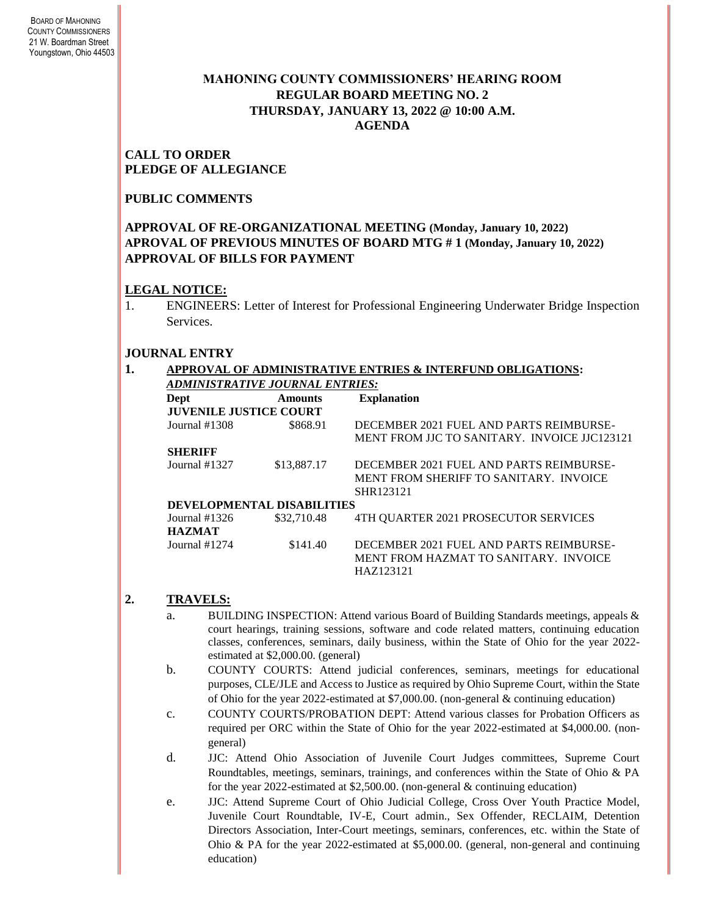# **MAHONING COUNTY COMMISSIONERS' HEARING ROOM REGULAR BOARD MEETING NO. 2 THURSDAY***,* **JANUARY 13, 2022 @ 10:00 A.M. AGENDA**

### **CALL TO ORDER PLEDGE OF ALLEGIANCE**

# **PUBLIC COMMENTS**

### **APPROVAL OF RE-ORGANIZATIONAL MEETING (Monday, January 10, 2022) APROVAL OF PREVIOUS MINUTES OF BOARD MTG # 1 (Monday, January 10, 2022) APPROVAL OF BILLS FOR PAYMENT**

### **LEGAL NOTICE:**

1. ENGINEERS: Letter of Interest for Professional Engineering Underwater Bridge Inspection **Services** 

# **JOURNAL ENTRY**

#### **1. APPROVAL OF ADMINISTRATIVE ENTRIES & INTERFUND OBLIGATIONS:**  *ADMINISTRATIVE JOURNAL ENTRIES:*

| Dept                             | <b>Amounts</b>                    | <b>Explanation</b>                                                                             |
|----------------------------------|-----------------------------------|------------------------------------------------------------------------------------------------|
| <b>JUVENILE JUSTICE COURT</b>    |                                   |                                                                                                |
| Journal $#1308$                  | \$868.91                          | DECEMBER 2021 FUEL AND PARTS REIMBURSE-<br>MENT FROM LIC TO SANITARY. INVOICE LIC123121        |
| <b>SHERIFF</b>                   |                                   |                                                                                                |
| Journal $#1327$                  | \$13,887.17                       | DECEMBER 2021 FUEL AND PARTS REIMBURSE-<br>MENT FROM SHERIFF TO SANITARY. INVOICE<br>SHR123121 |
|                                  | <b>DEVELOPMENTAL DISABILITIES</b> |                                                                                                |
| Journal $#1326$<br><b>HAZMAT</b> | \$32,710.48                       | 4TH OUARTER 2021 PROSECUTOR SERVICES                                                           |
| Journal #1274                    | \$141.40                          | DECEMBER 2021 FUEL AND PARTS REIMBURSE-<br>MENT FROM HAZMAT TO SANITARY. INVOICE<br>HAZ123121  |

# **2. TRAVELS:**

- a. BUILDING INSPECTION: Attend various Board of Building Standards meetings, appeals & court hearings, training sessions, software and code related matters, continuing education classes, conferences, seminars, daily business, within the State of Ohio for the year 2022 estimated at \$2,000.00. (general)
- b. COUNTY COURTS: Attend judicial conferences, seminars, meetings for educational purposes, CLE/JLE and Access to Justice as required by Ohio Supreme Court, within the State of Ohio for the year 2022-estimated at \$7,000.00. (non-general & continuing education)
- c. COUNTY COURTS/PROBATION DEPT: Attend various classes for Probation Officers as required per ORC within the State of Ohio for the year 2022-estimated at \$4,000.00. (nongeneral)
- d. JJC: Attend Ohio Association of Juvenile Court Judges committees, Supreme Court Roundtables, meetings, seminars, trainings, and conferences within the State of Ohio & PA for the year 2022-estimated at \$2,500.00. (non-general & continuing education)

e. JJC: Attend Supreme Court of Ohio Judicial College, Cross Over Youth Practice Model, Juvenile Court Roundtable, IV-E, Court admin., Sex Offender, RECLAIM, Detention Directors Association, Inter-Court meetings, seminars, conferences, etc. within the State of Ohio & PA for the year 2022-estimated at \$5,000.00. (general, non-general and continuing education)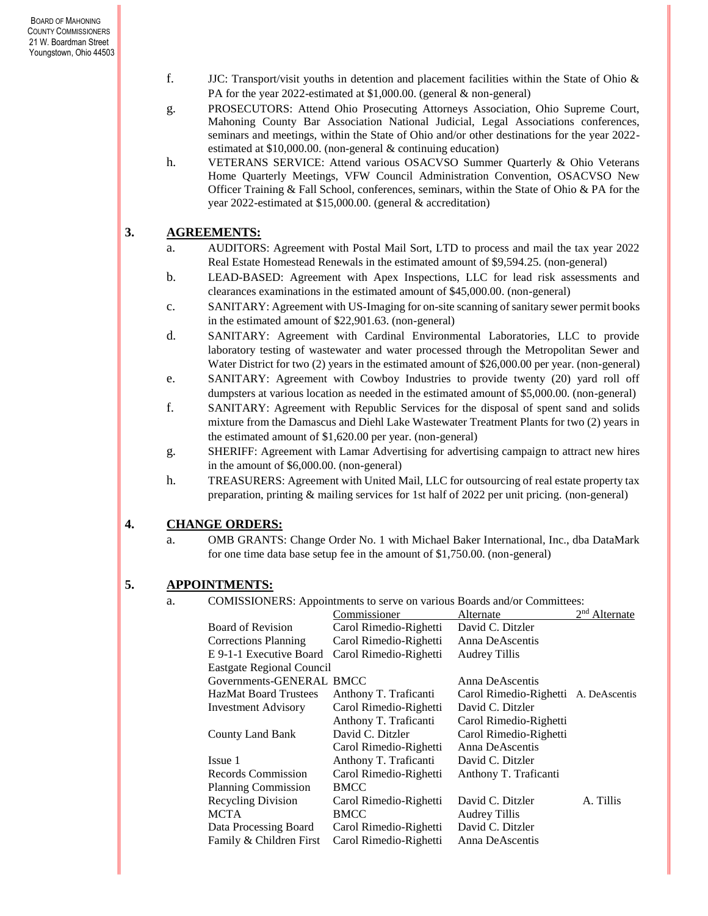- f. JJC: Transport/visit youths in detention and placement facilities within the State of Ohio  $\&$ PA for the year 2022-estimated at \$1,000.00. (general & non-general)
- g. PROSECUTORS: Attend Ohio Prosecuting Attorneys Association, Ohio Supreme Court, Mahoning County Bar Association National Judicial, Legal Associations conferences, seminars and meetings, within the State of Ohio and/or other destinations for the year 2022 estimated at \$10,000.00. (non-general & continuing education)
- h. VETERANS SERVICE: Attend various OSACVSO Summer Quarterly & Ohio Veterans Home Quarterly Meetings, VFW Council Administration Convention, OSACVSO New Officer Training & Fall School, conferences, seminars, within the State of Ohio & PA for the year 2022-estimated at \$15,000.00. (general & accreditation)

# **3. AGREEMENTS:**

- a. AUDITORS: Agreement with Postal Mail Sort, LTD to process and mail the tax year 2022 Real Estate Homestead Renewals in the estimated amount of \$9,594.25. (non-general)
- b. LEAD-BASED: Agreement with Apex Inspections, LLC for lead risk assessments and clearances examinations in the estimated amount of \$45,000.00. (non-general)
- c. SANITARY: Agreement with US-Imaging for on-site scanning of sanitary sewer permit books in the estimated amount of \$22,901.63. (non-general)
- d. SANITARY: Agreement with Cardinal Environmental Laboratories, LLC to provide laboratory testing of wastewater and water processed through the Metropolitan Sewer and Water District for two (2) years in the estimated amount of \$26,000.00 per year. (non-general)
- e. SANITARY: Agreement with Cowboy Industries to provide twenty (20) yard roll off dumpsters at various location as needed in the estimated amount of \$5,000.00. (non-general)
- f. SANITARY: Agreement with Republic Services for the disposal of spent sand and solids mixture from the Damascus and Diehl Lake Wastewater Treatment Plants for two (2) years in the estimated amount of \$1,620.00 per year. (non-general)
- g. SHERIFF: Agreement with Lamar Advertising for advertising campaign to attract new hires in the amount of \$6,000.00. (non-general)
- h. TREASURERS: Agreement with United Mail, LLC for outsourcing of real estate property tax preparation, printing & mailing services for 1st half of 2022 per unit pricing. (non-general)

# **4. CHANGE ORDERS:**

a. OMB GRANTS: Change Order No. 1 with Michael Baker International, Inc., dba DataMark for one time data base setup fee in the amount of \$1,750.00. (non-general)

# **5. APPOINTMENTS:**

a. COMISSIONERS: Appointments to serve on various Boards and/or Committees:

|                                  | Commissioner           | Alternate                            | $2nd$ Alternate |
|----------------------------------|------------------------|--------------------------------------|-----------------|
| Board of Revision                | Carol Rimedio-Righetti | David C. Ditzler                     |                 |
| <b>Corrections Planning</b>      | Carol Rimedio-Righetti | Anna DeAscentis                      |                 |
| E 9-1-1 Executive Board          | Carol Rimedio-Righetti | <b>Audrey Tillis</b>                 |                 |
| <b>Eastgate Regional Council</b> |                        |                                      |                 |
| Governments-GENERAL BMCC         |                        | Anna DeAscentis                      |                 |
| <b>HazMat Board Trustees</b>     | Anthony T. Traficanti  | Carol Rimedio-Righetti A. DeAscentis |                 |
| <b>Investment Advisory</b>       | Carol Rimedio-Righetti | David C. Ditzler                     |                 |
|                                  | Anthony T. Traficanti  | Carol Rimedio-Righetti               |                 |
| County Land Bank                 | David C. Ditzler       | Carol Rimedio-Righetti               |                 |
|                                  | Carol Rimedio-Righetti | Anna DeAscentis                      |                 |
| Issue 1                          | Anthony T. Traficanti  | David C. Ditzler                     |                 |
| Records Commission               | Carol Rimedio-Righetti | Anthony T. Traficanti                |                 |
| <b>Planning Commission</b>       | <b>BMCC</b>            |                                      |                 |
| Recycling Division               | Carol Rimedio-Righetti | David C. Ditzler                     | A. Tillis       |
| <b>MCTA</b>                      | <b>BMCC</b>            | <b>Audrey Tillis</b>                 |                 |
| Data Processing Board            | Carol Rimedio-Righetti | David C. Ditzler                     |                 |
| Family & Children First          | Carol Rimedio-Righetti | Anna DeAscentis                      |                 |
|                                  |                        |                                      |                 |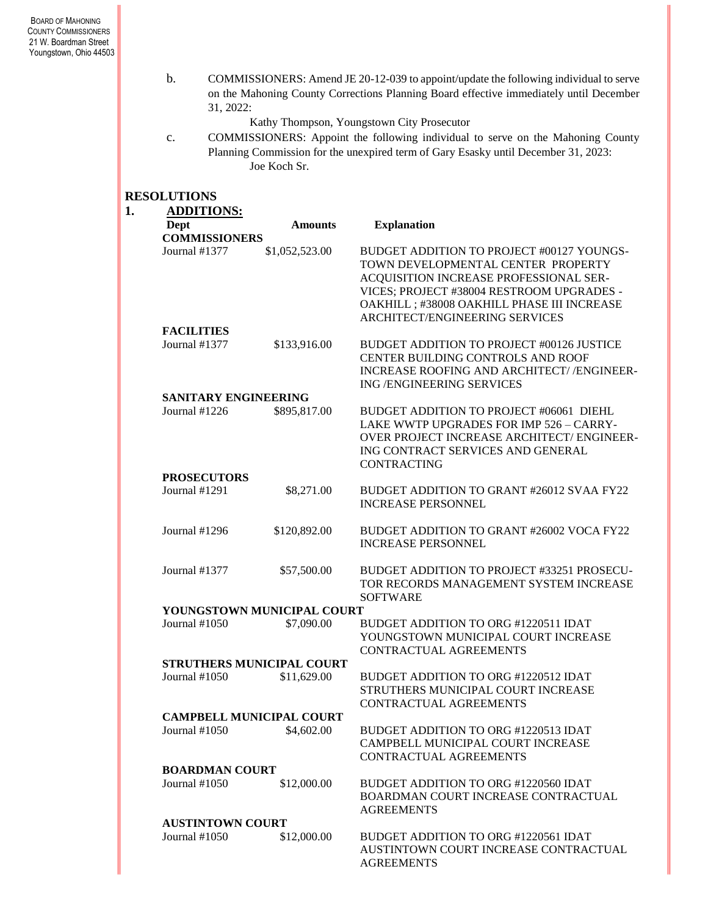b. COMMISSIONERS: Amend JE 20-12-039 to appoint/update the following individual to serve on the Mahoning County Corrections Planning Board effective immediately until December 31, 2022:

Kathy Thompson, Youngstown City Prosecutor

c. COMMISSIONERS: Appoint the following individual to serve on the Mahoning County Planning Commission for the unexpired term of Gary Esasky until December 31, 2023: Joe Koch Sr.

# **RESOLUTIONS**

| <b>ADDITIONS:</b>       |                                  |                                                                                                                                                                                                                                                         |
|-------------------------|----------------------------------|---------------------------------------------------------------------------------------------------------------------------------------------------------------------------------------------------------------------------------------------------------|
| Dept                    | <b>Amounts</b>                   | <b>Explanation</b>                                                                                                                                                                                                                                      |
| <b>COMMISSIONERS</b>    |                                  |                                                                                                                                                                                                                                                         |
| Journal #1377           | \$1,052,523.00                   | BUDGET ADDITION TO PROJECT #00127 YOUNGS-<br>TOWN DEVELOPMENTAL CENTER PROPERTY<br>ACQUISITION INCREASE PROFESSIONAL SER-<br>VICES; PROJECT #38004 RESTROOM UPGRADES -<br>OAKHILL ; #38008 OAKHILL PHASE III INCREASE<br>ARCHITECT/ENGINEERING SERVICES |
| <b>FACILITIES</b>       |                                  |                                                                                                                                                                                                                                                         |
| Journal #1377           | \$133,916.00                     | BUDGET ADDITION TO PROJECT #00126 JUSTICE<br>CENTER BUILDING CONTROLS AND ROOF<br>INCREASE ROOFING AND ARCHITECT//ENGINEER-<br>ING / ENGINEERING SERVICES                                                                                               |
| SANITARY ENGINEERING    |                                  |                                                                                                                                                                                                                                                         |
| Journal $#1226$         | \$895,817.00                     | BUDGET ADDITION TO PROJECT #06061 DIEHL<br>LAKE WWTP UPGRADES FOR IMP 526 - CARRY-<br><b>OVER PROJECT INCREASE ARCHITECT/ ENGINEER-</b><br>ING CONTRACT SERVICES AND GENERAL<br><b>CONTRACTING</b>                                                      |
| <b>PROSECUTORS</b>      |                                  |                                                                                                                                                                                                                                                         |
| Journal #1291           | \$8,271.00                       | BUDGET ADDITION TO GRANT #26012 SVAA FY22<br><b>INCREASE PERSONNEL</b>                                                                                                                                                                                  |
| Journal #1296           | \$120,892.00                     | BUDGET ADDITION TO GRANT #26002 VOCA FY22<br><b>INCREASE PERSONNEL</b>                                                                                                                                                                                  |
| Journal #1377           | \$57,500.00                      | BUDGET ADDITION TO PROJECT #33251 PROSECU-<br>TOR RECORDS MANAGEMENT SYSTEM INCREASE<br><b>SOFTWARE</b>                                                                                                                                                 |
|                         | YOUNGSTOWN MUNICIPAL COURT       |                                                                                                                                                                                                                                                         |
| Journal #1050           | \$7,090.00                       | BUDGET ADDITION TO ORG #1220511 IDAT<br>YOUNGSTOWN MUNICIPAL COURT INCREASE<br>CONTRACTUAL AGREEMENTS                                                                                                                                                   |
|                         | <b>STRUTHERS MUNICIPAL COURT</b> |                                                                                                                                                                                                                                                         |
| Journal $#1050$         | \$11,629.00                      | BUDGET ADDITION TO ORG #1220512 IDAT<br>STRUTHERS MUNICIPAL COURT INCREASE<br><b>CONTRACTUAL AGREEMENTS</b>                                                                                                                                             |
|                         | <b>CAMPBELL MUNICIPAL COURT</b>  |                                                                                                                                                                                                                                                         |
| Journal #1050           | \$4,602.00                       | BUDGET ADDITION TO ORG #1220513 IDAT<br>CAMPBELL MUNICIPAL COURT INCREASE<br>CONTRACTUAL AGREEMENTS                                                                                                                                                     |
| <b>BOARDMAN COURT</b>   |                                  |                                                                                                                                                                                                                                                         |
| Journal #1050           | \$12,000.00                      | BUDGET ADDITION TO ORG #1220560 IDAT<br>BOARDMAN COURT INCREASE CONTRACTUAL<br><b>AGREEMENTS</b>                                                                                                                                                        |
| <b>AUSTINTOWN COURT</b> |                                  |                                                                                                                                                                                                                                                         |
| Journal #1050           | \$12,000.00                      | BUDGET ADDITION TO ORG #1220561 IDAT<br>AUSTINTOWN COURT INCREASE CONTRACTUAL<br><b>AGREEMENTS</b>                                                                                                                                                      |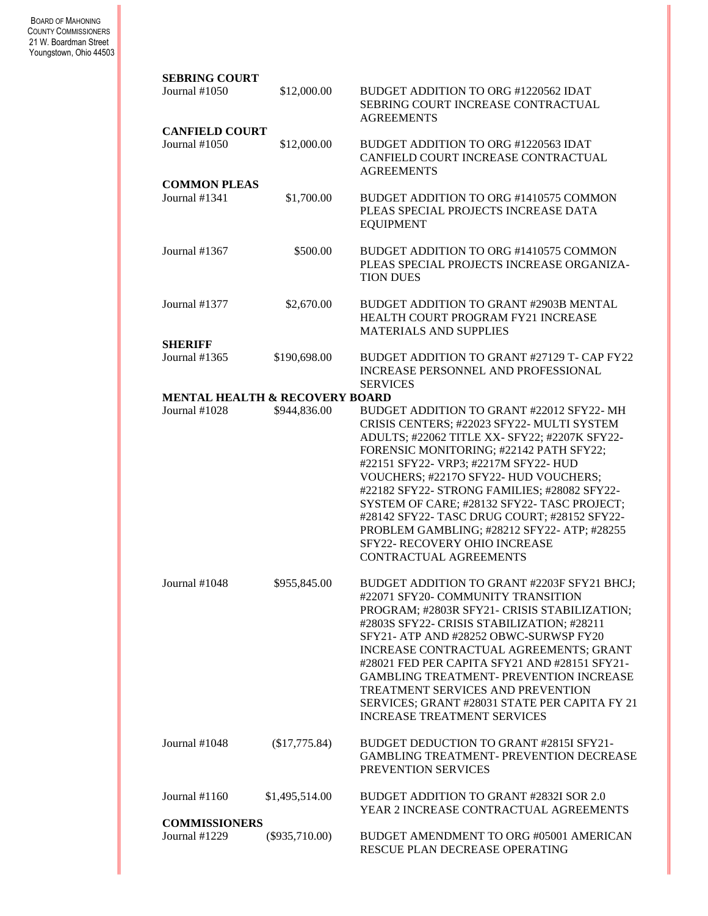#### BOARD OF MAHONING COUNTY COMMISSIONERS 21 W. Boardman Street Youngstown, Ohio 44503

| <b>SEBRING COURT</b>                      |                  |                                                                                                                                                                                                                                                                                                                                                                                                                                                                                                                               |
|-------------------------------------------|------------------|-------------------------------------------------------------------------------------------------------------------------------------------------------------------------------------------------------------------------------------------------------------------------------------------------------------------------------------------------------------------------------------------------------------------------------------------------------------------------------------------------------------------------------|
| Journal $\#1050$                          | \$12,000.00      | BUDGET ADDITION TO ORG #1220562 IDAT<br>SEBRING COURT INCREASE CONTRACTUAL<br><b>AGREEMENTS</b>                                                                                                                                                                                                                                                                                                                                                                                                                               |
| <b>CANFIELD COURT</b><br>Journal #1050    | \$12,000.00      | BUDGET ADDITION TO ORG #1220563 IDAT<br>CANFIELD COURT INCREASE CONTRACTUAL<br><b>AGREEMENTS</b>                                                                                                                                                                                                                                                                                                                                                                                                                              |
| <b>COMMON PLEAS</b><br>Journal #1341      | \$1,700.00       | BUDGET ADDITION TO ORG #1410575 COMMON<br>PLEAS SPECIAL PROJECTS INCREASE DATA<br><b>EQUIPMENT</b>                                                                                                                                                                                                                                                                                                                                                                                                                            |
| Journal #1367                             | \$500.00         | BUDGET ADDITION TO ORG #1410575 COMMON<br>PLEAS SPECIAL PROJECTS INCREASE ORGANIZA-<br><b>TION DUES</b>                                                                                                                                                                                                                                                                                                                                                                                                                       |
| Journal #1377                             | \$2,670.00       | BUDGET ADDITION TO GRANT #2903B MENTAL<br>HEALTH COURT PROGRAM FY21 INCREASE<br><b>MATERIALS AND SUPPLIES</b>                                                                                                                                                                                                                                                                                                                                                                                                                 |
| <b>SHERIFF</b><br>Journal #1365           | \$190,698.00     | BUDGET ADDITION TO GRANT #27129 T- CAP FY22<br>INCREASE PERSONNEL AND PROFESSIONAL<br><b>SERVICES</b>                                                                                                                                                                                                                                                                                                                                                                                                                         |
| <b>MENTAL HEALTH &amp; RECOVERY BOARD</b> |                  |                                                                                                                                                                                                                                                                                                                                                                                                                                                                                                                               |
| Journal $#1028$                           | \$944,836.00     | BUDGET ADDITION TO GRANT #22012 SFY22-MH<br>CRISIS CENTERS; #22023 SFY22- MULTI SYSTEM<br>ADULTS; #22062 TITLE XX- SFY22; #2207K SFY22-<br>FORENSIC MONITORING; #22142 PATH SFY22;<br>#22151 SFY22- VRP3; #2217M SFY22- HUD<br>VOUCHERS; #22170 SFY22- HUD VOUCHERS;<br>#22182 SFY22- STRONG FAMILIES; #28082 SFY22-<br>SYSTEM OF CARE; #28132 SFY22- TASC PROJECT;<br>#28142 SFY22- TASC DRUG COURT; #28152 SFY22-<br>PROBLEM GAMBLING; #28212 SFY22- ATP; #28255<br>SFY22- RECOVERY OHIO INCREASE<br>CONTRACTUAL AGREEMENTS |
| Journal #1048                             | \$955,845.00     | BUDGET ADDITION TO GRANT #2203F SFY21 BHCJ:<br>#22071 SFY20- COMMUNITY TRANSITION<br>PROGRAM; #2803R SFY21- CRISIS STABILIZATION;<br>#2803S SFY22- CRISIS STABILIZATION; #28211<br>SFY21- ATP AND #28252 OBWC-SURWSP FY20<br>INCREASE CONTRACTUAL AGREEMENTS; GRANT<br>#28021 FED PER CAPITA SFY21 AND #28151 SFY21-<br><b>GAMBLING TREATMENT- PREVENTION INCREASE</b><br>TREATMENT SERVICES AND PREVENTION<br>SERVICES; GRANT #28031 STATE PER CAPITA FY 21<br><b>INCREASE TREATMENT SERVICES</b>                            |
| Journal $\#1048$                          | (\$17,775.84)    | BUDGET DEDUCTION TO GRANT #2815I SFY21-<br>GAMBLING TREATMENT- PREVENTION DECREASE<br>PREVENTION SERVICES                                                                                                                                                                                                                                                                                                                                                                                                                     |
| Journal #1160                             | \$1,495,514.00   | BUDGET ADDITION TO GRANT #2832I SOR 2.0<br>YEAR 2 INCREASE CONTRACTUAL AGREEMENTS                                                                                                                                                                                                                                                                                                                                                                                                                                             |
| <b>COMMISSIONERS</b><br>Journal #1229     | $(\$935,710.00)$ | BUDGET AMENDMENT TO ORG #05001 AMERICAN<br>RESCUE PLAN DECREASE OPERATING                                                                                                                                                                                                                                                                                                                                                                                                                                                     |